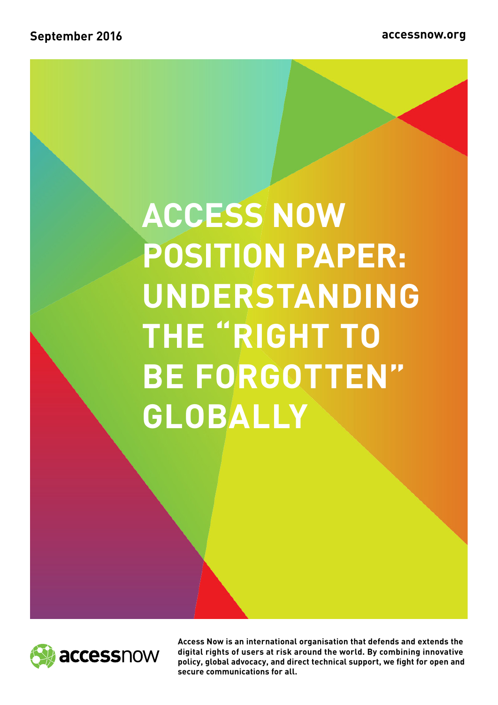# **ACCESS NOW POSITION PAPER: UNDERSTANDING THE "RIGHT TO BE FORGOTTEN" GLOBALLY**



**Access Now is an international organisation that defends and extends the digital rights of users at risk around the world. By combining innovative policy, global advocacy, and direct technical support, we fight for open and secure communications for all.**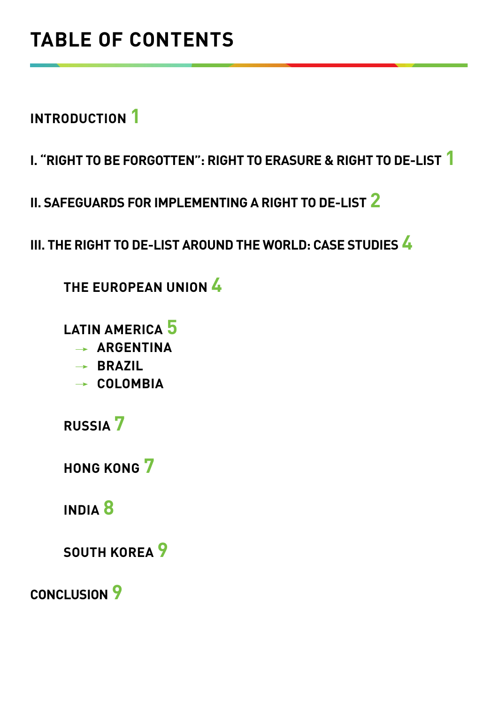**INTRODUCTION 1**

**I. "RIGHT TO BE FORGOTTEN": RIGHT TO ERASURE & RIGHT TO DE-LIST 1**

**II. SAFEGUARDS FOR IMPLEMENTING A RIGHT TO DE-LIST 2**

**III. THE RIGHT TO DE-LIST AROUND THE WORLD: CASE STUDIES 4**

**THE EUROPEAN UNION 4**

**LATIN AMERICA 5**

- **ARGENTINA**
- **BRAZIL**
- **COLOMBIA**

**RUSSIA 7**

**HONG KONG 7**

**INDIA 8**

**SOUTH KOREA 9**

**CONCLUSION 9**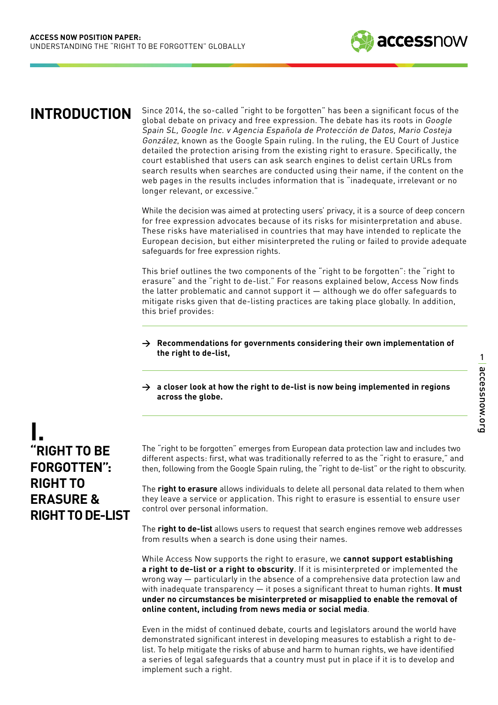

### **INTRODUCTION**

Since 2014, the so-called "right to be forgotten" has been a significant focus of the global debate on privacy and free expression. The debate has its roots in Google Spain SL, Google Inc. v Agencia Española de Protección de Datos, Mario Costeja González, known as the Google Spain ruling. In the ruling, the EU Court of Justice detailed the protection arising from the existing right to erasure. Specifically, the court established that users can ask search engines to delist certain URLs from search results when searches are conducted using their name, if the content on the web pages in the results includes information that is "inadequate, irrelevant or no longer relevant, or excessive."

While the decision was aimed at protecting users' privacy, it is a source of deep concern for free expression advocates because of its risks for misinterpretation and abuse. These risks have materialised in countries that may have intended to replicate the European decision, but either misinterpreted the ruling or failed to provide adequate safeguards for free expression rights.

This brief outlines the two components of the "right to be forgotten": the "right to erasure" and the "right to de-list." For reasons explained below, Access Now finds the latter problematic and cannot support it — although we do offer safeguards to mitigate risks given that de-listing practices are taking place globally. In addition, this brief provides:

- **> Recommendations for governments considering their own implementation of the right to de-list,**
- **> a closer look at how the right to de-list is now being implemented in regions across the globe.**

## **"RIGHT TO BE FORGOTTEN": RIGHT TO ERASURE & RIGHT TO DE-LIST I.**

The "right to be forgotten" emerges from European data protection law and includes two different aspects: first, what was traditionally referred to as the "right to erasure," and then, following from the Google Spain ruling, the "right to de-list" or the right to obscurity.

The **right to erasure** allows individuals to delete all personal data related to them when they leave a service or application. This right to erasure is essential to ensure user control over personal information.

The **right to de-list** allows users to request that search engines remove web addresses from results when a search is done using their names.

While Access Now supports the right to erasure, we **cannot support establishing a right to de-list or a right to obscurity**. If it is misinterpreted or implemented the wrong way — particularly in the absence of a comprehensive data protection law and with inadequate transparency — it poses a significant threat to human rights. **It must under no circumstances be misinterpreted or misapplied to enable the removal of online content, including from news media or social media**.

Even in the midst of continued debate, courts and legislators around the world have demonstrated significant interest in developing measures to establish a right to delist. To help mitigate the risks of abuse and harm to human rights, we have identified a series of legal safeguards that a country must put in place if it is to develop and implement such a right.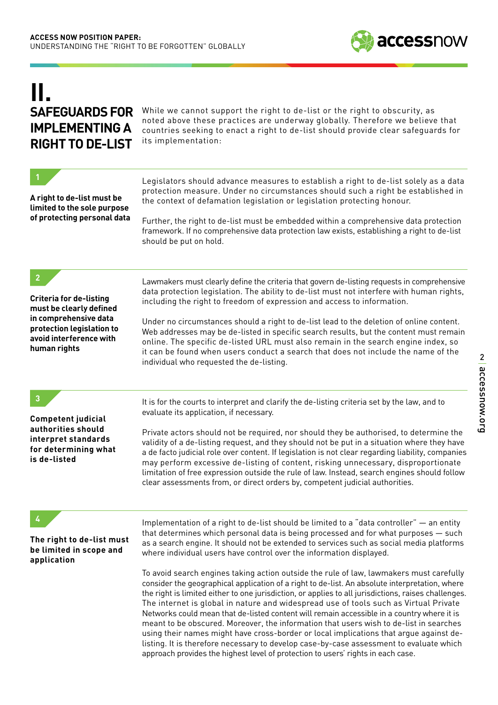# **IMPLEMENTING A RIGHT TO DE-LIST II.**

**SAFEGUARDS FOR** While we cannot support the right to de-list or the right to obscurity, as noted above these practices are underway globally. Therefore we believe that countries seeking to enact a right to de-list should provide clear safeguards for its implementation:

| A right to de-list must be<br>limited to the sole purpose<br>of protecting personal data                                                                   | Legislators should advance measures to establish a right to de-list solely as a data<br>protection measure. Under no circumstances should such a right be established in<br>the context of defamation legislation or legislation protecting honour.<br>Further, the right to de-list must be embedded within a comprehensive data protection<br>framework. If no comprehensive data protection law exists, establishing a right to de-list<br>should be put on hold.                                                                                                                                                                                                                                                                                                                                                                                                                                                                                                                                                                                                                                                          |
|------------------------------------------------------------------------------------------------------------------------------------------------------------|-------------------------------------------------------------------------------------------------------------------------------------------------------------------------------------------------------------------------------------------------------------------------------------------------------------------------------------------------------------------------------------------------------------------------------------------------------------------------------------------------------------------------------------------------------------------------------------------------------------------------------------------------------------------------------------------------------------------------------------------------------------------------------------------------------------------------------------------------------------------------------------------------------------------------------------------------------------------------------------------------------------------------------------------------------------------------------------------------------------------------------|
| <b>Criteria for de-listing</b><br>must be clearly defined<br>in comprehensive data<br>protection legislation to<br>avoid interference with<br>human rights | Lawmakers must clearly define the criteria that govern de-listing requests in comprehensive<br>data protection legislation. The ability to de-list must not interfere with human rights,<br>including the right to freedom of expression and access to information.<br>Under no circumstances should a right to de-list lead to the deletion of online content.<br>Web addresses may be de-listed in specific search results, but the content must remain<br>online. The specific de-listed URL must also remain in the search engine index, so<br>it can be found when users conduct a search that does not include the name of the<br>individual who requested the de-listing.                                                                                                                                                                                                                                                                                                                                                                                                                                              |
| $\mathbf{3}$<br><b>Competent judicial</b><br>authorities should<br>interpret standards<br>for determining what<br>is de-listed                             | It is for the courts to interpret and clarify the de-listing criteria set by the law, and to<br>evaluate its application, if necessary.<br>Private actors should not be required, nor should they be authorised, to determine the<br>validity of a de-listing request, and they should not be put in a situation where they have<br>a de facto judicial role over content. If legislation is not clear regarding liability, companies<br>may perform excessive de-listing of content, risking unnecessary, disproportionate<br>limitation of free expression outside the rule of law. Instead, search engines should follow<br>clear assessments from, or direct orders by, competent judicial authorities.                                                                                                                                                                                                                                                                                                                                                                                                                   |
| The right to de-list must<br>be limited in scope and<br>application                                                                                        | Implementation of a right to de-list should be limited to a "data controller" - an entity<br>that determines which personal data is being processed and for what purposes - such<br>as a search engine. It should not be extended to services such as social media platforms<br>where individual users have control over the information displayed.<br>To avoid search engines taking action outside the rule of law, lawmakers must carefully<br>consider the geographical application of a right to de-list. An absolute interpretation, where<br>the right is limited either to one jurisdiction, or applies to all jurisdictions, raises challenges.<br>The internet is global in nature and widespread use of tools such as Virtual Private<br>Networks could mean that de-listed content will remain accessible in a country where it is<br>meant to be obscured. Moreover, the information that users wish to de-list in searches<br>using their names might have cross-border or local implications that argue against de-<br>listing. It is therefore necessary to develop case-by-case assessment to evaluate which |

approach provides the highest level of protection to users' rights in each case.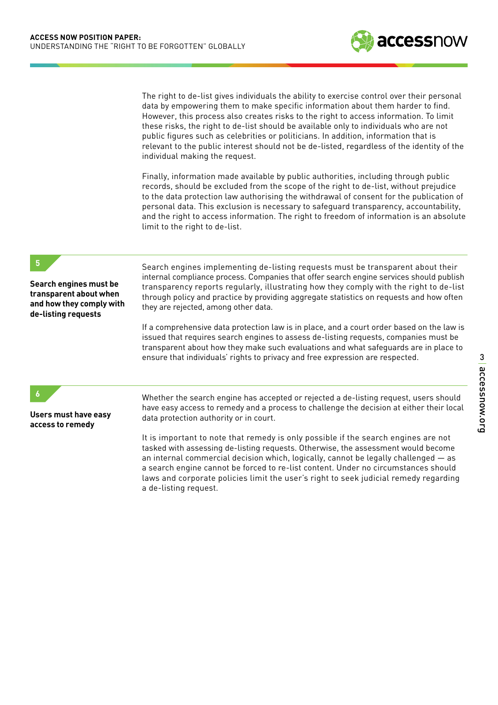The right to de-list gives individuals the ability to exercise control over their personal data by empowering them to make specific information about them harder to find. However, this process also creates risks to the right to access information. To limit these risks, the right to de-list should be available only to individuals who are not public figures such as celebrities or politicians. In addition, information that is relevant to the public interest should not be de-listed, regardless of the identity of the individual making the request.

Finally, information made available by public authorities, including through public records, should be excluded from the scope of the right to de-list, without prejudice to the data protection law authorising the withdrawal of consent for the publication of personal data. This exclusion is necessary to safeguard transparency, accountability, and the right to access information. The right to freedom of information is an absolute limit to the right to de-list.

#### **5**

**Search engines must be transparent about when and how they comply with de-listing requests**

Search engines implementing de-listing requests must be transparent about their internal compliance process. Companies that offer search engine services should publish transparency reports regularly, illustrating how they comply with the right to de-list through policy and practice by providing aggregate statistics on requests and how often they are rejected, among other data.

If a comprehensive data protection law is in place, and a court order based on the law is issued that requires search engines to assess de-listing requests, companies must be transparent about how they make such evaluations and what safeguards are in place to ensure that individuals' rights to privacy and free expression are respected.

#### **6**

**Users must have easy access to remedy**

Whether the search engine has accepted or rejected a de-listing request, users should have easy access to remedy and a process to challenge the decision at either their local data protection authority or in court.

It is important to note that remedy is only possible if the search engines are not tasked with assessing de-listing requests. Otherwise, the assessment would become an internal commercial decision which, logically, cannot be legally challenged — as a search engine cannot be forced to re-list content. Under no circumstances should laws and corporate policies limit the user's right to seek judicial remedy regarding a de-listing request.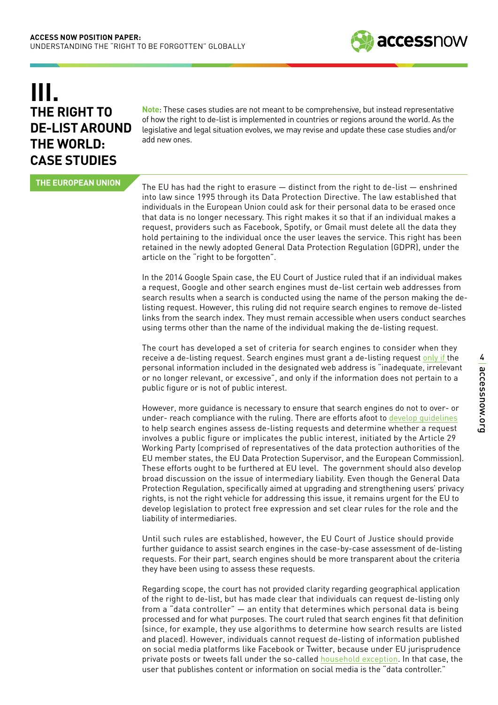# **THE RIGHT TO DE-LIST AROUND THE WORLD: CASE STUDIES III.**

**Note**: These cases studies are not meant to be comprehensive, but instead representative of how the right to de-list is implemented in countries or regions around the world. As the legislative and legal situation evolves, we may revise and update these case studies and/or add new ones.

**THE EUROPEAN UNION**

The EU has had the right to erasure — distinct from the right to de-list — enshrined into law since 1995 through its Data Protection Directive. The law established that individuals in the European Union could ask for their personal data to be erased once that data is no longer necessary. This right makes it so that if an individual makes a request, providers such as Facebook, Spotify, or Gmail must delete all the data they hold pertaining to the individual once the user leaves the service. This right has been retained in the newly adopted General Data Protection Regulation (GDPR), under the article on the "right to be forgotten".

In the 2014 Google Spain case, the EU Court of Justice ruled that if an individual makes a request, Google and other search engines must de-list certain web addresses from search results when a search is conducted using the name of the person making the delisting request. However, this ruling did not require search engines to remove de-listed links from the search index. They must remain accessible when users conduct searches using terms other than the name of the individual making the de-listing request.

The court has developed a set of criteria for search engines to consider when they receive a de-listing request. Search engines must grant a de-listing request [only if t](http://curia.europa.eu/juris/document/document.jsf;jsessionid=9ea7d2dc30dd033316cc64ac4b98b2f0b4c043284bad.e34KaxiLc3qMb40Rch0SaxuTbNz0?text=&docid=152065&pageIndex=0&doclang=EN&mode=lst&dir=&occ=first&part=1&cid=594069)he personal information included in the designated web address is "inadequate, irrelevant or no longer relevant, or excessive", and only if the information does not pertain to a public figure or is not of public interest.

However, more guidance is necessary to ensure that search engines do not to over- or under- reach compliance with the ruling. There are efforts afoot to [develop guidelines](http://ec.europa.eu/justice/data-protection/article-29/documentation/opinion-recommendation/files/2014/wp225_en.pdf) to help search engines assess de-listing requests and determine whether a request involves a public figure or implicates the public interest, initiated by the Article 29 Working Party (comprised of representatives of the data protection authorities of the EU member states, the EU Data Protection Supervisor, and the European Commission). These efforts ought to be furthered at EU level. The government should also develop broad discussion on the issue of intermediary liability. Even though the General Data Protection Regulation, specifically aimed at upgrading and strengthening users' privacy rights, is not the right vehicle for addressing this issue, it remains urgent for the EU to develop legislation to protect free expression and set clear rules for the role and the liability of intermediaries.

Until such rules are established, however, the EU Court of Justice should provide further guidance to assist search engines in the case-by-case assessment of de-listing requests. For their part, search engines should be more transparent about the criteria they have been using to assess these requests.

Regarding scope, the court has not provided clarity regarding geographical application of the right to de-list, but has made clear that individuals can request de-listing only from a "data controller" — an entity that determines which personal data is being processed and for what purposes. The court ruled that search engines fit that definition (since, for example, they use algorithms to determine how search results are listed and placed). However, individuals cannot request de-listing of information published on social media platforms like Facebook or Twitter, because under EU jurisprudence private posts or tweets fall under the so-called [household exception.](http://ec.europa.eu/justice/policies/privacy/docs/wpdocs/2009/wp163_en.pdf) In that case, the user that publishes content or information on social media is the "data controller."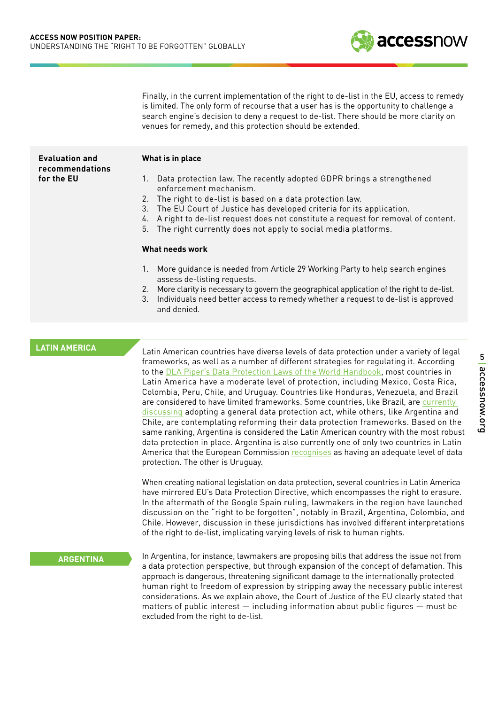Finally, in the current implementation of the right to de-list in the EU, access to remedy is limited. The only form of recourse that a user has is the opportunity to challenge a search engine's decision to deny a request to de-list. There should be more clarity on venues for remedy, and this protection should be extended.

| <b>Evaluation and</b><br>recommendations | What is in place                                                                                                                                                                                                                                                                                                                                                                                           |
|------------------------------------------|------------------------------------------------------------------------------------------------------------------------------------------------------------------------------------------------------------------------------------------------------------------------------------------------------------------------------------------------------------------------------------------------------------|
| for the EU                               | Data protection law. The recently adopted GDPR brings a strengthened<br>1.<br>enforcement mechanism.<br>2. The right to de-list is based on a data protection law.<br>3. The EU Court of Justice has developed criteria for its application.<br>4. A right to de-list request does not constitute a request for removal of content.<br>The right currently does not apply to social media platforms.<br>5. |

#### **What needs work**

- 1. More guidance is needed from Article 29 Working Party to help search engines assess de-listing requests.
- 2. More clarity is necessary to govern the geographical application of the right to de-list.
- 3. Individuals need better access to remedy whether a request to de-list is approved and denied.

#### **LATIN AMERICA**

Latin American countries have diverse levels of data protection under a variety of legal frameworks, as well as a number of different strategies for regulating it. According to the **DLA Piper's Data Protection Laws of the World Handbook**, most countries in Latin America have a moderate level of protection, including Mexico, Costa Rica, Colombia, Peru, Chile, and Uruguay. Countries like Honduras, Venezuela, and Brazil are considered to have limited frameworks. Some countries, like Brazil, are currently [discussing](https://iapp.org/news/a/will-brazil-seize-this-opportune-moment-for-data-protection-and-privacy/) adopting a general data protection act, while others, like Argentina and Chile, are contemplating reforming their data protection frameworks. Based on the same ranking, Argentina is considered the Latin American country with the most robust data protection in place. Argentina is also currently one of only two countries in Latin America that the European Commission [recognises](http://ec.europa.eu/justice/data-protection/international-transfers/adequacy/index_en.htm) as having an adequate level of data protection. The other is Uruguay.

When creating national legislation on data protection, several countries in Latin America have mirrored EU's Data Protection Directive, which encompasses the right to erasure. In the aftermath of the Google Spain ruling, lawmakers in the region have launched discussion on the "right to be forgotten", notably in Brazil, Argentina, Colombia, and Chile. However, discussion in these jurisdictions has involved different interpretations of the right to de-list, implicating varying levels of risk to human rights.

#### **ARGENTINA**

In Argentina, for instance, lawmakers are proposing bills that address the issue not from a data protection perspective, but through expansion of the concept of defamation. This approach is dangerous, threatening significant damage to the internationally protected human right to freedom of expression by stripping away the necessary public interest considerations. As we explain above, the Court of Justice of the EU clearly stated that matters of public interest — including information about public figures — must be excluded from the right to de-list.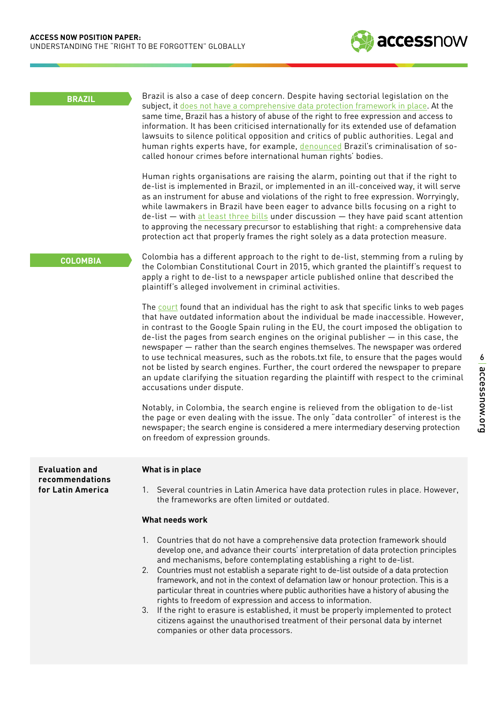

#### **Evaluation and recommendations for Latin America**

#### **What is in place**

1. Several countries in Latin America have data protection rules in place. However, the frameworks are often limited or outdated.

#### **What needs work**

- 1. Countries that do not have a comprehensive data protection framework should develop one, and advance their courts' interpretation of data protection principles and mechanisms, before contemplating establishing a right to de-list.
- 2. Countries must not establish a separate right to de-list outside of a data protection framework, and not in the context of defamation law or honour protection. This is a particular threat in countries where public authorities have a history of abusing the rights to freedom of expression and access to information.
- 3. If the right to erasure is established, it must be properly implemented to protect citizens against the unauthorised treatment of their personal data by internet companies or other data processors.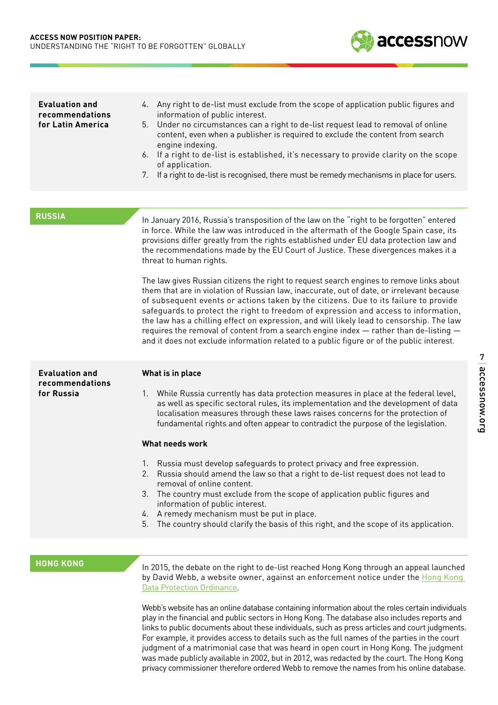

| <b>Evaluation and</b><br>recommendations<br>for Latin America | 4. Any right to de-list must exclude from the scope of application public figures and<br>information of public interest.<br>Under no circumstances can a right to de-list request lead to removal of online<br>5.<br>content, even when a publisher is required to exclude the content from search<br>engine indexing.<br>6. If a right to de-list is established, it's necessary to provide clarity on the scope<br>of application.<br>If a right to de-list is recognised, there must be remedy mechanisms in place for users.<br>7.                                                                                                                                                                                                                                                                                                                                                                                                                                                                                                                     |  |
|---------------------------------------------------------------|------------------------------------------------------------------------------------------------------------------------------------------------------------------------------------------------------------------------------------------------------------------------------------------------------------------------------------------------------------------------------------------------------------------------------------------------------------------------------------------------------------------------------------------------------------------------------------------------------------------------------------------------------------------------------------------------------------------------------------------------------------------------------------------------------------------------------------------------------------------------------------------------------------------------------------------------------------------------------------------------------------------------------------------------------------|--|
|                                                               |                                                                                                                                                                                                                                                                                                                                                                                                                                                                                                                                                                                                                                                                                                                                                                                                                                                                                                                                                                                                                                                            |  |
| <b>RUSSIA</b>                                                 | In January 2016, Russia's transposition of the law on the "right to be forgotten" entered<br>in force. While the law was introduced in the aftermath of the Google Spain case, its<br>provisions differ greatly from the rights established under EU data protection law and<br>the recommendations made by the EU Court of Justice. These divergences makes it a<br>threat to human rights.<br>The law gives Russian citizens the right to request search engines to remove links about<br>them that are in violation of Russian law, inaccurate, out of date, or irrelevant because<br>of subsequent events or actions taken by the citizens. Due to its failure to provide<br>safeguards to protect the right to freedom of expression and access to information,<br>the law has a chilling effect on expression, and will likely lead to censorship. The law<br>requires the removal of content from a search engine index $-$ rather than de-listing $-$<br>and it does not exclude information related to a public figure or of the public interest. |  |
| <b>Evaluation and</b>                                         | What is in place                                                                                                                                                                                                                                                                                                                                                                                                                                                                                                                                                                                                                                                                                                                                                                                                                                                                                                                                                                                                                                           |  |
| recommendations<br>for Russia                                 | 1. While Russia currently has data protection measures in place at the federal level,<br>as well as specific sectoral rules, its implementation and the development of data<br>localisation measures through these laws raises concerns for the protection of<br>fundamental rights and often appear to contradict the purpose of the legislation.                                                                                                                                                                                                                                                                                                                                                                                                                                                                                                                                                                                                                                                                                                         |  |
|                                                               | What needs work                                                                                                                                                                                                                                                                                                                                                                                                                                                                                                                                                                                                                                                                                                                                                                                                                                                                                                                                                                                                                                            |  |
|                                                               | 1. Russia must develop safeguards to protect privacy and free expression.<br>2. Russia should amend the law so that a right to de-list request does not lead to<br>removal of online content.<br>The country must exclude from the scope of application public figures and<br>3.<br>information of public interest.<br>4. A remedy mechanism must be put in place.<br>5. The country should clarify the basis of this right, and the scope of its application.                                                                                                                                                                                                                                                                                                                                                                                                                                                                                                                                                                                             |  |
|                                                               |                                                                                                                                                                                                                                                                                                                                                                                                                                                                                                                                                                                                                                                                                                                                                                                                                                                                                                                                                                                                                                                            |  |
|                                                               |                                                                                                                                                                                                                                                                                                                                                                                                                                                                                                                                                                                                                                                                                                                                                                                                                                                                                                                                                                                                                                                            |  |

**HONG KONG**

In 2015, the debate on the right to de-list reached Hong Kong through an appeal launched by David Webb, a website owner, against an enforcement notice under the Hong Kong [Data Protection Ordinance](https://www.pcpd.org.hk/english/data_privacy_law/ordinance_at_a_Glance/ordinance.html).

Webb's website has an online database containing information about the roles certain individuals play in the financial and public sectors in Hong Kong. The database also includes reports and links to public documents about these individuals, such as press articles and court judgments. For example, it provides access to details such as the full names of the parties in the court judgment of a matrimonial case that was heard in open court in Hong Kong. The judgment was made publicly available in 2002, but in 2012, was redacted by the court. The Hong Kong privacy commissioner therefore ordered Webb to remove the names from his online database.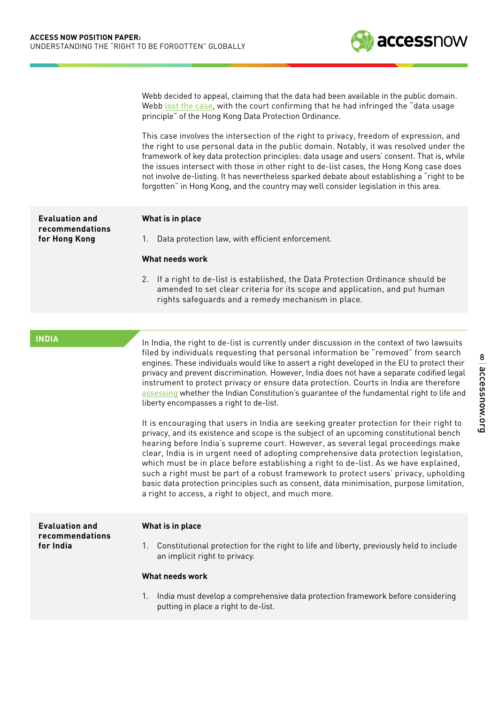

Webb decided to appeal, claiming that the data had been available in the public domain. Webb [lost the case](https://www.pcpd.org.hk/english/files/casenotes/AAB_54_2014.pdf), with the court confirming that he had infringed the "data usage principle" of the Hong Kong Data Protection Ordinance.

This case involves the intersection of the right to privacy, freedom of expression, and the right to use personal data in the public domain. Notably, it was resolved under the framework of key data protection principles: data usage and users' consent. That is, while the issues intersect with those in other right to de-list cases, the Hong Kong case does not involve de-listing. It has nevertheless sparked debate about establishing a "right to be forgotten" in Hong Kong, and the country may well consider legislation in this area.

#### **What is in place**

1. Data protection law, with efficient enforcement. **recommendations for Hong Kong**

#### **What needs work**

2. If a right to de-list is established, the Data Protection Ordinance should be amended to set clear criteria for its scope and application, and put human rights safeguards and a remedy mechanism in place.

#### **INDIA**

**Evaluation and** 

In India, the right to de-list is currently under discussion in the context of two lawsuits filed by individuals requesting that personal information be "removed" from search engines. These individuals would like to assert a right developed in the EU to protect their privacy and prevent discrimination. However, India does not have a separate codified legal instrument to protect privacy or ensure data protection. Courts in India are therefore [assessing](http://timesofindia.indiatimes.com/india/Delhi-banker-seeks-right-to-be-forgotten-online/articleshow/52060003.cms) whether the Indian Constitution's guarantee of the fundamental right to life and liberty encompasses a right to de-list.

It is encouraging that users in India are seeking greater protection for their right to privacy, and its existence and scope is the subject of an upcoming constitutional bench hearing before India's supreme court. However, as several legal proceedings make clear, India is in urgent need of adopting comprehensive data protection legislation, which must be in place before establishing a right to de-list. As we have explained, such a right must be part of a robust framework to protect users' privacy, upholding basic data protection principles such as consent, data minimisation, purpose limitation, a right to access, a right to object, and much more.

#### **Evaluation and recommendations for India**

#### **What is in place**

1. Constitutional protection for the right to life and liberty, previously held to include an implicit right to privacy.

#### **What needs work**

1. India must develop a comprehensive data protection framework before considering putting in place a right to de-list.